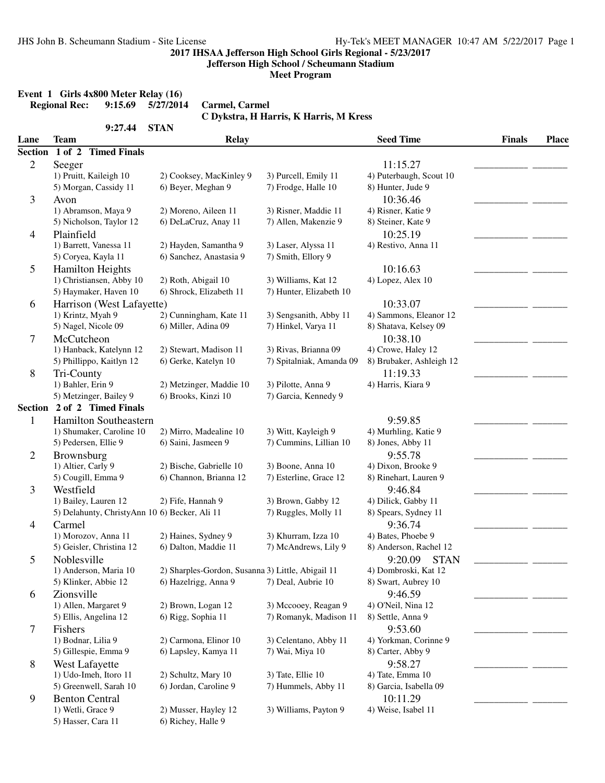**Jefferson High School / Scheumann Stadium**

**Meet Program**

# **Event 1 Girls 4x800 Meter Relay (16)**<br>Regional Rec: 9:15.69 5/27/2014

**Regional Rec: 9:15.69 5/27/2014 Carmel, Carmel**

**C Dykstra, H Harris, K Harris, M Kress**

|                | 9:27.44                                       | <b>STAN</b>                                       |                          |                          |               |              |
|----------------|-----------------------------------------------|---------------------------------------------------|--------------------------|--------------------------|---------------|--------------|
| Lane           | <b>Team</b>                                   | <b>Relay</b>                                      |                          | <b>Seed Time</b>         | <b>Finals</b> | <b>Place</b> |
| <b>Section</b> | 1 of 2 Timed Finals                           |                                                   |                          |                          |               |              |
| $\overline{2}$ | Seeger                                        |                                                   |                          | 11:15.27                 |               |              |
|                | 1) Pruitt, Kaileigh 10                        | 2) Cooksey, MacKinley 9                           | 3) Purcell, Emily 11     | 4) Puterbaugh, Scout 10  |               |              |
|                | 5) Morgan, Cassidy 11                         | 6) Beyer, Meghan 9                                | 7) Frodge, Halle 10      | 8) Hunter, Jude 9        |               |              |
| 3              | Avon                                          |                                                   |                          | 10:36.46                 |               |              |
|                | 1) Abramson, Maya 9                           | 2) Moreno, Aileen 11                              | 3) Risner, Maddie 11     | 4) Risner, Katie 9       |               |              |
|                | 5) Nicholson, Taylor 12                       | 6) DeLaCruz, Anay 11                              | 7) Allen, Makenzie 9     | 8) Steiner, Kate 9       |               |              |
| 4              | Plainfield                                    |                                                   |                          | 10:25.19                 |               |              |
|                | 1) Barrett, Vanessa 11                        | 2) Hayden, Samantha 9                             | 3) Laser, Alyssa 11      | 4) Restivo, Anna 11      |               |              |
|                | 5) Coryea, Kayla 11                           | 6) Sanchez, Anastasia 9                           | 7) Smith, Ellory 9       |                          |               |              |
| 5              | <b>Hamilton Heights</b>                       |                                                   |                          | 10:16.63                 |               |              |
|                | 1) Christiansen, Abby 10                      | 2) Roth, Abigail 10                               | 3) Williams, Kat 12      | 4) Lopez, Alex 10        |               |              |
|                | 5) Haymaker, Haven 10                         | 6) Shrock, Elizabeth 11                           | 7) Hunter, Elizabeth 10  |                          |               |              |
| 6              | Harrison (West Lafayette)                     |                                                   |                          | 10:33.07                 |               |              |
|                | 1) Krintz, Myah 9                             | 2) Cunningham, Kate 11                            | 3) Sengsanith, Abby 11   | 4) Sammons, Eleanor 12   |               |              |
|                | 5) Nagel, Nicole 09                           | 6) Miller, Adina 09                               | 7) Hinkel, Varya 11      | 8) Shatava, Kelsey 09    |               |              |
| 7              | McCutcheon                                    |                                                   |                          | 10:38.10                 |               |              |
|                | 1) Hanback, Katelynn 12                       | 2) Stewart, Madison 11                            | 3) Rivas, Brianna 09     | 4) Crowe, Haley 12       |               |              |
|                | 5) Phillippo, Kaitlyn 12                      | 6) Gerke, Katelyn 10                              | 7) Spitalniak, Amanda 09 | 8) Brubaker, Ashleigh 12 |               |              |
| 8              | Tri-County                                    |                                                   |                          | 11:19.33                 |               |              |
|                | 1) Bahler, Erin 9                             | 2) Metzinger, Maddie 10                           | 3) Pilotte, Anna 9       | 4) Harris, Kiara 9       |               |              |
|                | 5) Metzinger, Bailey 9                        | 6) Brooks, Kinzi 10                               | 7) Garcia, Kennedy 9     |                          |               |              |
|                | Section 2 of 2 Timed Finals                   |                                                   |                          |                          |               |              |
| $\mathbf{1}$   | Hamilton Southeastern                         |                                                   |                          | 9:59.85                  |               |              |
|                | 1) Shumaker, Caroline 10                      | 2) Mirro, Madealine 10                            | 3) Witt, Kayleigh 9      | 4) Murhling, Katie 9     |               |              |
|                | 5) Pedersen, Ellie 9                          | 6) Saini, Jasmeen 9                               | 7) Cummins, Lillian 10   | 8) Jones, Abby 11        |               |              |
| $\overline{c}$ | Brownsburg                                    |                                                   |                          | 9:55.78                  |               |              |
|                | 1) Altier, Carly 9                            | 2) Bische, Gabrielle 10                           | 3) Boone, Anna 10        | 4) Dixon, Brooke 9       |               |              |
|                | 5) Cougill, Emma 9                            | 6) Channon, Brianna 12                            | 7) Esterline, Grace 12   | 8) Rinehart, Lauren 9    |               |              |
| 3              | Westfield                                     |                                                   |                          | 9:46.84                  |               |              |
|                | 1) Bailey, Lauren 12                          | 2) Fife, Hannah 9                                 | 3) Brown, Gabby 12       | 4) Dilick, Gabby 11      |               |              |
|                | 5) Delahunty, ChristyAnn 10 6) Becker, Ali 11 |                                                   | 7) Ruggles, Molly 11     | 8) Spears, Sydney 11     |               |              |
| 4              | Carmel                                        |                                                   |                          | 9:36.74                  |               |              |
|                | 1) Morozov, Anna 11                           | 2) Haines, Sydney 9                               | 3) Khurram, Izza 10      | 4) Bates, Phoebe 9       |               |              |
|                | 5) Geisler, Christina 12                      | 6) Dalton, Maddie 11                              | 7) McAndrews, Lily 9     | 8) Anderson, Rachel 12   |               |              |
| 5              | Noblesville                                   |                                                   |                          | 9:20.09<br><b>STAN</b>   |               |              |
|                | 1) Anderson, Maria 10                         | 2) Sharples-Gordon, Susanna 3) Little, Abigail 11 |                          | 4) Dombroski, Kat 12     |               |              |
|                | 5) Klinker, Abbie 12                          | 6) Hazelrigg, Anna 9                              | 7) Deal, Aubrie 10       | 8) Swart, Aubrey 10      |               |              |
| 6              | Zionsville                                    |                                                   |                          | 9:46.59                  |               |              |
|                | 1) Allen, Margaret 9                          | 2) Brown, Logan 12                                | 3) Mccooey, Reagan 9     | 4) O'Neil, Nina 12       |               |              |
|                | 5) Ellis, Angelina 12                         | 6) Rigg, Sophia 11                                | 7) Romanyk, Madison 11   | 8) Settle, Anna 9        |               |              |
| 7              | Fishers                                       |                                                   |                          | 9:53.60                  |               |              |
|                | 1) Bodnar, Lilia 9                            | 2) Carmona, Elinor 10                             | 3) Celentano, Abby 11    | 4) Yorkman, Corinne 9    |               |              |
|                | 5) Gillespie, Emma 9                          | 6) Lapsley, Kamya 11                              | 7) Wai, Miya 10          | 8) Carter, Abby 9        |               |              |
| 8              | West Lafayette                                |                                                   |                          | 9:58.27                  |               |              |
|                | 1) Udo-Imeh, Itoro 11                         | 2) Schultz, Mary 10                               | 3) Tate, Ellie 10        | 4) Tate, Emma 10         |               |              |
|                | 5) Greenwell, Sarah 10                        | 6) Jordan, Caroline 9                             | 7) Hummels, Abby 11      | 8) Garcia, Isabella 09   |               |              |
| 9              | <b>Benton Central</b>                         |                                                   |                          | 10:11.29                 |               |              |
|                | 1) Wetli, Grace 9                             | 2) Musser, Hayley 12                              | 3) Williams, Payton 9    | 4) Weise, Isabel 11      |               |              |
|                | 5) Hasser, Cara 11                            | 6) Richey, Halle 9                                |                          |                          |               |              |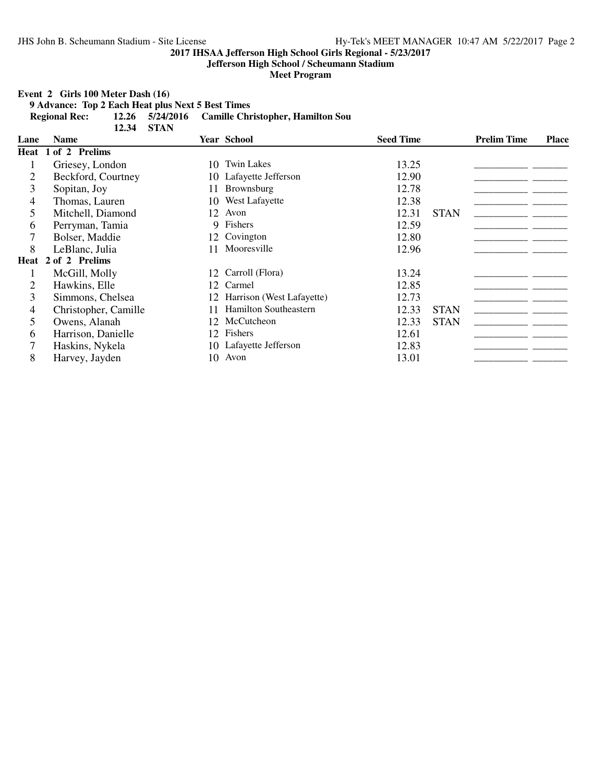**Jefferson High School / Scheumann Stadium**

**Meet Program**

**Event 2 Girls 100 Meter Dash (16)**

**9 Advance: Top 2 Each Heat plus Next 5 Best Times Regional Rec: 12.26 5/24/2016 Camille Christopher, Hamilton Sou 12.34 STAN**

|      | 12.34                | - STAN |                           |                  |             |                    |       |
|------|----------------------|--------|---------------------------|------------------|-------------|--------------------|-------|
| Lane | <b>Name</b>          |        | <b>Year School</b>        | <b>Seed Time</b> |             | <b>Prelim Time</b> | Place |
|      | Heat 1 of 2 Prelims  |        |                           |                  |             |                    |       |
|      | Griesey, London      | 10.    | <b>Twin Lakes</b>         | 13.25            |             |                    |       |
|      | Beckford, Courtney   |        | 10 Lafayette Jefferson    | 12.90            |             |                    |       |
| 3    | Sopitan, Joy         | 11     | Brownsburg                | 12.78            |             |                    |       |
| 4    | Thomas, Lauren       | 10     | West Lafayette            | 12.38            |             |                    |       |
| 5    | Mitchell, Diamond    | 12     | Avon                      | 12.31            | <b>STAN</b> |                    |       |
| 6    | Perryman, Tamia      | 9      | Fishers                   | 12.59            |             |                    |       |
|      | Bolser, Maddie       | 12     | Covington                 | 12.80            |             |                    |       |
| 8    | LeBlanc, Julia       |        | Mooresville               | 12.96            |             |                    |       |
|      | Heat 2 of 2 Prelims  |        |                           |                  |             |                    |       |
|      | McGill, Molly        | 12     | Carroll (Flora)           | 13.24            |             |                    |       |
| 2    | Hawkins, Elle        | 12     | Carmel                    | 12.85            |             |                    |       |
| 3    | Simmons, Chelsea     | 12     | Harrison (West Lafayette) | 12.73            |             |                    |       |
| 4    | Christopher, Camille |        | Hamilton Southeastern     | 12.33            | <b>STAN</b> |                    |       |
| 5    | Owens, Alanah        | 12     | McCutcheon                | 12.33            | <b>STAN</b> |                    |       |
| 6    | Harrison, Danielle   | 12     | Fishers                   | 12.61            |             |                    |       |
|      | Haskins, Nykela      | 10-    | Lafayette Jefferson       | 12.83            |             |                    |       |
| 8    | Harvey, Jayden       | 10     | Avon                      | 13.01            |             |                    |       |
|      |                      |        |                           |                  |             |                    |       |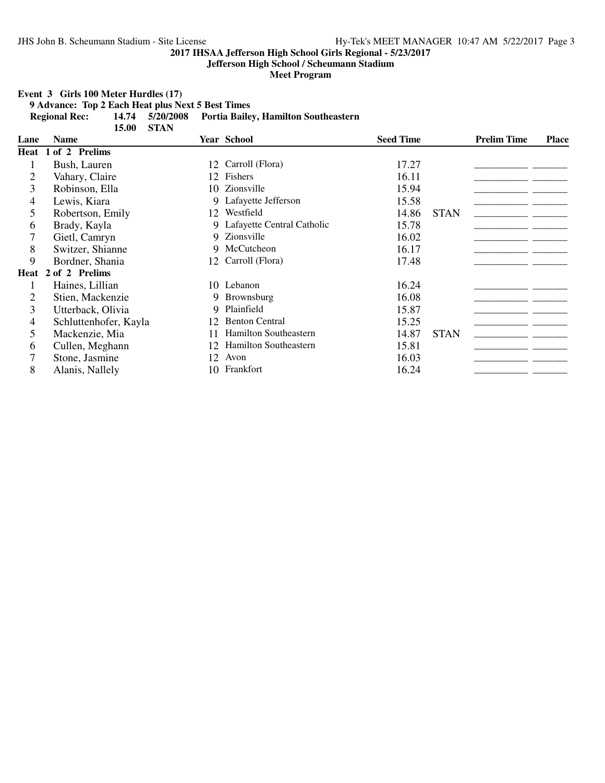**Jefferson High School / Scheumann Stadium**

**Meet Program**

**Event 3 Girls 100 Meter Hurdles (17)**

**9 Advance: Top 2 Each Heat plus Next 5 Best Times Regional Rec: 14.74 5/20/2008 Portia Bailey, Hamilton Southeastern**

|      | <b>STAN</b><br>15.00  |     |                              |                  |             |                    |              |
|------|-----------------------|-----|------------------------------|------------------|-------------|--------------------|--------------|
| Lane | <b>Name</b>           |     | <b>Year School</b>           | <b>Seed Time</b> |             | <b>Prelim Time</b> | <b>Place</b> |
|      | Heat 1 of 2 Prelims   |     |                              |                  |             |                    |              |
|      | Bush, Lauren          | 12  | Carroll (Flora)              | 17.27            |             |                    |              |
| 2    | Vahary, Claire        | 12  | Fishers                      | 16.11            |             |                    |              |
| 3    | Robinson, Ella        | 10. | Zionsville                   | 15.94            |             |                    |              |
| 4    | Lewis, Kiara          |     | 9 Lafayette Jefferson        | 15.58            |             |                    |              |
| 5    | Robertson, Emily      | 12  | Westfield                    | 14.86            | <b>STAN</b> |                    |              |
| 6    | Brady, Kayla          |     | 9 Lafayette Central Catholic | 15.78            |             |                    |              |
|      | Gietl, Camryn         |     | 9 Zionsville                 | 16.02            |             |                    |              |
| 8    | Switzer, Shianne      |     | 9 McCutcheon                 | 16.17            |             |                    |              |
| 9    | Bordner, Shania       |     | 12 Carroll (Flora)           | 17.48            |             |                    |              |
|      | Heat 2 of 2 Prelims   |     |                              |                  |             |                    |              |
|      | Haines, Lillian       |     | 10 Lebanon                   | 16.24            |             |                    |              |
|      | Stien, Mackenzie      |     | 9 Brownsburg                 | 16.08            |             |                    |              |
| 3    | Utterback, Olivia     |     | 9 Plainfield                 | 15.87            |             |                    |              |
| 4    | Schluttenhofer, Kayla | 12  | <b>Benton Central</b>        | 15.25            |             |                    |              |
| 5    | Mackenzie, Mia        | 11  | Hamilton Southeastern        | 14.87            | <b>STAN</b> |                    |              |
| 6    | Cullen, Meghann       | 12  | Hamilton Southeastern        | 15.81            |             |                    |              |
| 7    | Stone, Jasmine        | 12  | Avon                         | 16.03            |             |                    |              |
| 8    | Alanis, Nallely       | 10  | Frankfort                    | 16.24            |             |                    |              |
|      |                       |     |                              |                  |             |                    |              |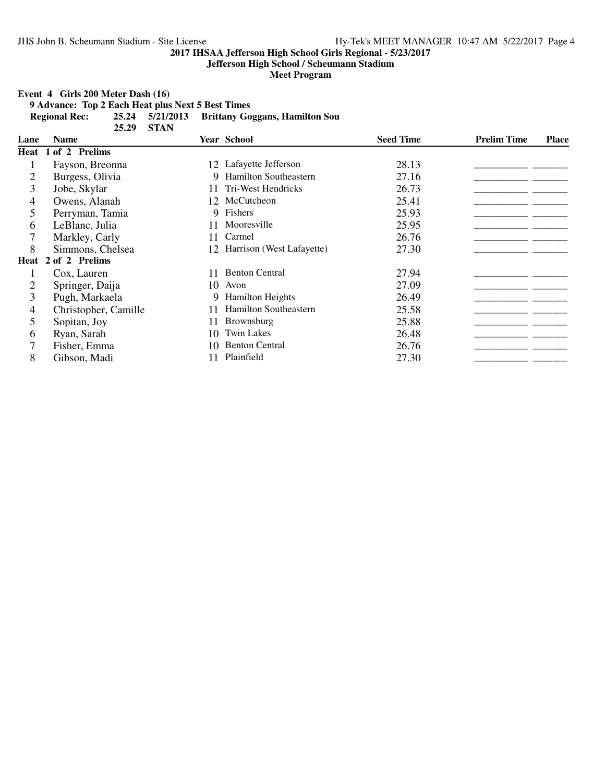**Jefferson High School / Scheumann Stadium**

**Meet Program**

**Event 4 Girls 200 Meter Dash (16)**

**9 Advance: Top 2 Each Heat plus Next 5 Best Times Regional Rec: 25.24 5/21/2013 Brittany Goggans, Hamilton Sou**

|      | 25.29                        | <b>STAN</b> |                              |                  |                    |              |
|------|------------------------------|-------------|------------------------------|------------------|--------------------|--------------|
| Lane | <b>Name</b>                  |             | <b>Year School</b>           | <b>Seed Time</b> | <b>Prelim Time</b> | <b>Place</b> |
| Heat | 1 of 2 Prelims               |             |                              |                  |                    |              |
|      | Fayson, Breonna              |             | 12 Lafayette Jefferson       | 28.13            |                    |              |
| 2    | Burgess, Olivia              |             | 9 Hamilton Southeastern      | 27.16            |                    |              |
| 3    | Jobe, Skylar                 |             | <b>Tri-West Hendricks</b>    | 26.73            |                    |              |
| 4    | Owens, Alanah                |             | 12 McCutcheon                | 25.41            |                    |              |
| 5    | Perryman, Tamia              |             | 9 Fishers                    | 25.93            |                    |              |
| 6    | LeBlanc, Julia               | 11          | Mooresville                  | 25.95            |                    |              |
|      | Markley, Carly               |             | Carmel                       | 26.76            |                    |              |
| 8    | Simmons, Chelsea             |             | 12 Harrison (West Lafayette) | 27.30            |                    |              |
| Heat | of 2 Prelims<br>$\mathbf{2}$ |             |                              |                  |                    |              |
|      | Cox, Lauren                  |             | <b>Benton Central</b>        | 27.94            |                    |              |
| 2    | Springer, Daija              | 10          | Avon                         | 27.09            |                    |              |
| 3    | Pugh, Markaela               | 9           | <b>Hamilton Heights</b>      | 26.49            |                    |              |
| 4    | Christopher, Camille         |             | Hamilton Southeastern        | 25.58            |                    |              |
| 5    | Sopitan, Joy                 | 11          | <b>Brownsburg</b>            | 25.88            |                    |              |
| 6    | Ryan, Sarah                  | 10          | <b>Twin Lakes</b>            | 26.48            |                    |              |
|      | Fisher, Emma                 | 10          | <b>Benton Central</b>        | 26.76            |                    |              |
| 8    | Gibson, Madi                 |             | Plainfield                   | 27.30            |                    |              |
|      |                              |             |                              |                  |                    |              |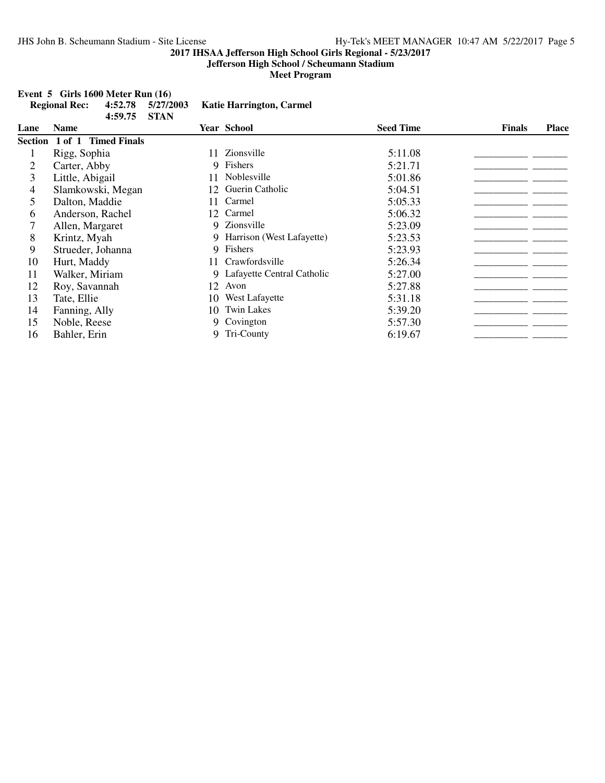### **Jefferson High School / Scheumann Stadium**

**Meet Program**

# **Event 5 Girls 1600 Meter Run (16)**<br>Regional Rec: 4:52.78 5/27/2

|      | <b>Regional Rec:</b>        | 4:52.78<br>4:59.75 | 5/27/2003<br><b>STAN</b> |    | <b>Katie Harrington, Carmel</b> |                  |               |              |
|------|-----------------------------|--------------------|--------------------------|----|---------------------------------|------------------|---------------|--------------|
| Lane | <b>Name</b>                 |                    |                          |    | <b>Year School</b>              | <b>Seed Time</b> | <b>Finals</b> | <b>Place</b> |
|      | Section 1 of 1 Timed Finals |                    |                          |    |                                 |                  |               |              |
|      | Rigg, Sophia                |                    |                          | 11 | Zionsville                      | 5:11.08          |               |              |
| 2    | Carter, Abby                |                    |                          | 9. | Fishers                         | 5:21.71          |               |              |
| 3    | Little, Abigail             |                    |                          |    | Noblesville                     | 5:01.86          |               |              |
| 4    |                             | Slamkowski, Megan  |                          | 12 | Guerin Catholic                 | 5:04.51          |               |              |
| 5    | Dalton, Maddie              |                    |                          | 11 | Carmel                          | 5:05.33          |               |              |
| 6    | Anderson, Rachel            |                    |                          | 12 | Carmel                          | 5:06.32          |               |              |
| 7    | Allen, Margaret             |                    |                          | 9  | Zionsville                      | 5:23.09          |               |              |
| 8    | Krintz, Myah                |                    |                          | 9  | Harrison (West Lafayette)       | 5:23.53          |               |              |
| 9    | Strueder, Johanna           |                    |                          | 9  | Fishers                         | 5:23.93          |               |              |
| 10   | Hurt, Maddy                 |                    |                          | 11 | Crawfordsville                  | 5:26.34          |               |              |
| 11   | Walker, Miriam              |                    |                          | 9  | Lafayette Central Catholic      | 5:27.00          |               |              |
| 12   | Roy, Savannah               |                    |                          | 12 | Avon                            | 5:27.88          |               |              |
| 13   | Tate, Ellie                 |                    |                          | 10 | West Lafayette                  | 5:31.18          |               |              |
| 14   | Fanning, Ally               |                    |                          | 10 | <b>Twin Lakes</b>               | 5:39.20          |               |              |
| 15   | Noble, Reese                |                    |                          | 9  | Covington                       | 5:57.30          |               |              |
| 16   | Bahler, Erin                |                    |                          | 9  | Tri-County                      | 6:19.67          |               |              |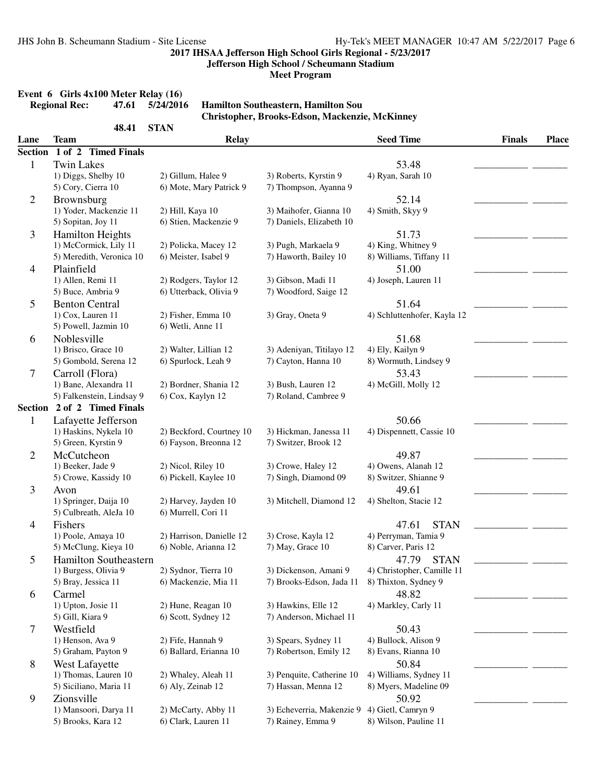**Jefferson High School / Scheumann Stadium**

**Meet Program**

# **Event 6 Girls 4x100 Meter Relay (16)**<br>Regional Rec: 47.61 5/24/2016

#### **Regional Rec: 47.61 5/24/2016 Hamilton Southeastern, Hamilton Sou Christopher, Brooks-Edson, Mackenzie, McKinney**

|                | 48.41                                       | <b>STAN</b>                                     |                                                |                                             |               |              |
|----------------|---------------------------------------------|-------------------------------------------------|------------------------------------------------|---------------------------------------------|---------------|--------------|
| Lane           | Team                                        | <b>Relay</b>                                    |                                                | <b>Seed Time</b>                            | <b>Finals</b> | <b>Place</b> |
| <b>Section</b> | 1 of 2 Timed Finals                         |                                                 |                                                |                                             |               |              |
| 1              | <b>Twin Lakes</b>                           |                                                 |                                                | 53.48                                       |               |              |
|                | 1) Diggs, Shelby 10                         | 2) Gillum, Halee 9                              | 3) Roberts, Kyrstin 9                          | 4) Ryan, Sarah 10                           |               |              |
|                | 5) Cory, Cierra 10                          | 6) Mote, Mary Patrick 9                         | 7) Thompson, Ayanna 9                          |                                             |               |              |
| $\overline{2}$ | Brownsburg                                  |                                                 |                                                | 52.14                                       |               |              |
|                | 1) Yoder, Mackenzie 11                      | 2) Hill, Kaya 10                                | 3) Maihofer, Gianna 10                         | 4) Smith, Skyy 9                            |               |              |
|                | 5) Sopitan, Joy 11                          | 6) Stien, Mackenzie 9                           | 7) Daniels, Elizabeth 10                       |                                             |               |              |
| 3              | <b>Hamilton Heights</b>                     |                                                 |                                                | 51.73                                       |               |              |
|                | 1) McCormick, Lily 11                       | 2) Policka, Macey 12                            | 3) Pugh, Markaela 9                            | 4) King, Whitney 9                          |               |              |
|                | 5) Meredith, Veronica 10                    | 6) Meister, Isabel 9                            | 7) Haworth, Bailey 10                          | 8) Williams, Tiffany 11                     |               |              |
| 4              | Plainfield                                  |                                                 |                                                | 51.00                                       |               |              |
|                | 1) Allen, Remi 11<br>5) Buce, Ambria 9      | 2) Rodgers, Taylor 12<br>6) Utterback, Olivia 9 | 3) Gibson, Madi 11<br>7) Woodford, Saige 12    | 4) Joseph, Lauren 11                        |               |              |
|                |                                             |                                                 |                                                |                                             |               |              |
| 5              | <b>Benton Central</b><br>1) Cox, Lauren 11  | 2) Fisher, Emma 10                              | 3) Gray, Oneta 9                               | 51.64<br>4) Schluttenhofer, Kayla 12        |               |              |
|                | 5) Powell, Jazmin 10                        | 6) Wetli, Anne 11                               |                                                |                                             |               |              |
|                | Noblesville                                 |                                                 |                                                | 51.68                                       |               |              |
| 6              | 1) Brisco, Grace 10                         | 2) Walter, Lillian 12                           | 3) Adeniyan, Titilayo 12                       | 4) Ely, Kailyn 9                            |               |              |
|                | 5) Gombold, Serena 12                       | 6) Spurlock, Leah 9                             | 7) Cayton, Hanna 10                            | 8) Wormuth, Lindsey 9                       |               |              |
| 7              | Carroll (Flora)                             |                                                 |                                                | 53.43                                       |               |              |
|                | 1) Bane, Alexandra 11                       | 2) Bordner, Shania 12                           | 3) Bush, Lauren 12                             | 4) McGill, Molly 12                         |               |              |
|                | 5) Falkenstein, Lindsay 9                   | 6) Cox, Kaylyn 12                               | 7) Roland, Cambree 9                           |                                             |               |              |
|                | Section 2 of 2 Timed Finals                 |                                                 |                                                |                                             |               |              |
| 1              | Lafayette Jefferson                         |                                                 |                                                | 50.66                                       |               |              |
|                | 1) Haskins, Nykela 10                       | 2) Beckford, Courtney 10                        | 3) Hickman, Janessa 11                         | 4) Dispennett, Cassie 10                    |               |              |
|                | 5) Green, Kyrstin 9                         | 6) Fayson, Breonna 12                           | 7) Switzer, Brook 12                           |                                             |               |              |
| $\overline{2}$ | McCutcheon                                  |                                                 |                                                | 49.87                                       |               |              |
|                | 1) Beeker, Jade 9                           | 2) Nicol, Riley 10                              | 3) Crowe, Haley 12                             | 4) Owens, Alanah 12                         |               |              |
|                | 5) Crowe, Kassidy 10                        | 6) Pickell, Kaylee 10                           | 7) Singh, Diamond 09                           | 8) Switzer, Shianne 9                       |               |              |
| 3              | Avon                                        |                                                 |                                                | 49.61                                       |               |              |
|                | 1) Springer, Daija 10                       | 2) Harvey, Jayden 10                            | 3) Mitchell, Diamond 12                        | 4) Shelton, Stacie 12                       |               |              |
|                | 5) Culbreath, AleJa 10                      | 6) Murrell, Cori 11                             |                                                |                                             |               |              |
| 4              | Fishers                                     |                                                 |                                                | <b>STAN</b><br>47.61                        |               |              |
|                | 1) Poole, Amaya 10                          | 2) Harrison, Danielle 12                        | 3) Crose, Kayla 12                             | 4) Perryman, Tamia 9                        |               |              |
|                | 5) McClung, Kieya 10                        | 6) Noble, Arianna 12                            | 7) May, Grace 10                               | 8) Carver, Paris 12                         |               |              |
| 5              | Hamilton Southeastern                       |                                                 |                                                | 47.79<br><b>STAN</b>                        |               |              |
|                | 1) Burgess, Olivia 9                        | 2) Sydnor, Tierra 10                            | 3) Dickenson, Amani 9                          | 4) Christopher, Camille 11                  |               |              |
|                | 5) Bray, Jessica 11                         | 6) Mackenzie, Mia 11                            | 7) Brooks-Edson, Jada 11                       | 8) Thixton, Sydney 9                        |               |              |
| 6              | Carmel                                      |                                                 |                                                | 48.82                                       |               |              |
|                | 1) Upton, Josie 11                          | 2) Hune, Reagan 10                              | 3) Hawkins, Elle 12                            | 4) Markley, Carly 11                        |               |              |
|                | 5) Gill, Kiara 9                            | 6) Scott, Sydney 12                             | 7) Anderson, Michael 11                        |                                             |               |              |
| 7              | Westfield                                   |                                                 |                                                | 50.43                                       |               |              |
|                | 1) Henson, Ava 9                            | 2) Fife, Hannah 9                               | 3) Spears, Sydney 11                           | 4) Bullock, Alison 9                        |               |              |
|                | 5) Graham, Payton 9                         | 6) Ballard, Erianna 10                          | 7) Robertson, Emily 12                         | 8) Evans, Rianna 10                         |               |              |
| 8              | West Lafayette                              |                                                 |                                                | 50.84                                       |               |              |
|                | 1) Thomas, Lauren 10                        | 2) Whaley, Aleah 11                             | 3) Penquite, Catherine 10                      | 4) Williams, Sydney 11                      |               |              |
|                | 5) Siciliano, Maria 11                      | 6) Aly, Zeinab 12                               | 7) Hassan, Menna 12                            | 8) Myers, Madeline 09                       |               |              |
| 9              | Zionsville                                  |                                                 |                                                | 50.92                                       |               |              |
|                | 1) Mansoori, Darya 11<br>5) Brooks, Kara 12 | 2) McCarty, Abby 11<br>6) Clark, Lauren 11      | 3) Echeverria, Makenzie 9<br>7) Rainey, Emma 9 | 4) Gietl, Camryn 9<br>8) Wilson, Pauline 11 |               |              |
|                |                                             |                                                 |                                                |                                             |               |              |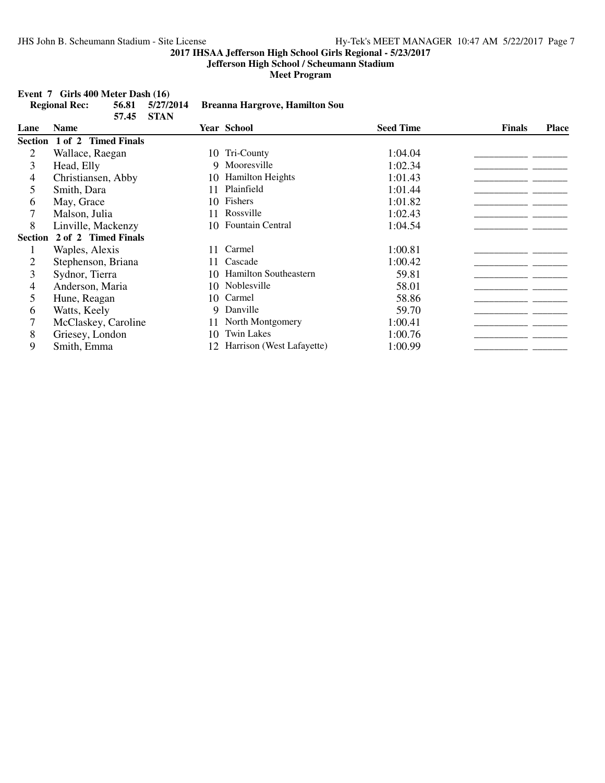**Jefferson High School / Scheumann Stadium**

**Meet Program**

#### **Event 7 Girls 400 Meter Dash (16)**

|                | <b>Regional Rec:</b> | 56.81<br>57.45 | 5/27/2014<br><b>STAN</b> |     | <b>Breanna Hargrove, Hamilton Sou</b> |                  |               |              |
|----------------|----------------------|----------------|--------------------------|-----|---------------------------------------|------------------|---------------|--------------|
| Lane           | <b>Name</b>          |                |                          |     | <b>Year School</b>                    | <b>Seed Time</b> | <b>Finals</b> | <b>Place</b> |
| <b>Section</b> | 1 of 2 Timed Finals  |                |                          |     |                                       |                  |               |              |
| 2              | Wallace, Raegan      |                |                          |     | 10 Tri-County                         | 1:04.04          |               |              |
| 3              | Head, Elly           |                |                          | 9   | Mooresville                           | 1:02.34          |               |              |
| 4              | Christiansen, Abby   |                |                          | 10- | <b>Hamilton Heights</b>               | 1:01.43          |               |              |
| 5              | Smith, Dara          |                |                          |     | Plainfield                            | 1:01.44          |               |              |
| 6              | May, Grace           |                |                          |     | 10 Fishers                            | 1:01.82          |               |              |
|                | Malson, Julia        |                |                          | 11  | Rossville                             | 1:02.43          |               |              |
| 8              | Linville, Mackenzy   |                |                          |     | 10 Fountain Central                   | 1:04.54          |               |              |
| <b>Section</b> | 2 of 2 Timed Finals  |                |                          |     |                                       |                  |               |              |
|                | Waples, Alexis       |                |                          | 11  | Carmel                                | 1:00.81          |               |              |
| 2              | Stephenson, Briana   |                |                          | 11  | Cascade                               | 1:00.42          |               |              |
| 3              | Sydnor, Tierra       |                |                          | 10. | <b>Hamilton Southeastern</b>          | 59.81            |               |              |
| 4              | Anderson, Maria      |                |                          |     | 10 Noblesville                        | 58.01            |               |              |
| 5              | Hune, Reagan         |                |                          | 10  | Carmel                                | 58.86            |               |              |
| 6              | Watts, Keely         |                |                          | 9   | Danville                              | 59.70            |               |              |
|                | McClaskey, Caroline  |                |                          | 11  | North Montgomery                      | 1:00.41          |               |              |
| 8              | Griesey, London      |                |                          | 10  | <b>Twin Lakes</b>                     | 1:00.76          |               |              |
| 9              | Smith, Emma          |                |                          | 12  | Harrison (West Lafayette)             | 1:00.99          |               |              |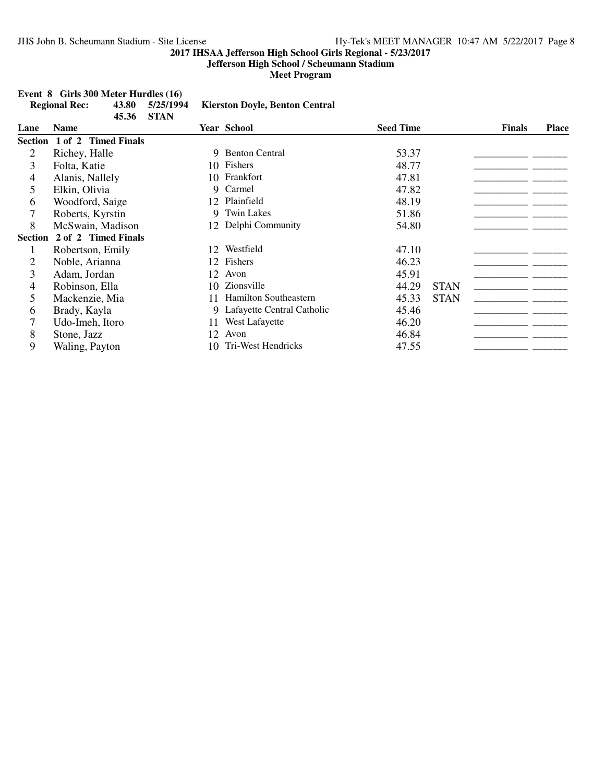### **Jefferson High School / Scheumann Stadium**

**Meet Program**

|                | <b>Regional Rec:</b>        | 43.80<br>45.36 | 5/25/1994<br><b>STAN</b> |     | <b>Kierston Doyle, Benton Central</b> |                  |             |               |              |
|----------------|-----------------------------|----------------|--------------------------|-----|---------------------------------------|------------------|-------------|---------------|--------------|
| Lane           | <b>Name</b>                 |                |                          |     | <b>Year School</b>                    | <b>Seed Time</b> |             | <b>Finals</b> | <b>Place</b> |
|                | Section 1 of 2 Timed Finals |                |                          |     |                                       |                  |             |               |              |
| 2              | Richey, Halle               |                |                          | 9   | <b>Benton Central</b>                 | 53.37            |             |               |              |
| 3              | Folta, Katie                |                |                          |     | 10 Fishers                            | 48.77            |             |               |              |
| 4              | Alanis, Nallely             |                |                          | 10. | Frankfort                             | 47.81            |             |               |              |
| 5              | Elkin, Olivia               |                |                          | 9   | Carmel                                | 47.82            |             |               |              |
| 6              | Woodford, Saige             |                |                          | 12  | Plainfield                            | 48.19            |             |               |              |
|                | Roberts, Kyrstin            |                |                          | 9   | <b>Twin Lakes</b>                     | 51.86            |             |               |              |
| 8              | McSwain, Madison            |                |                          |     | 12 Delphi Community                   | 54.80            |             |               |              |
| <b>Section</b> | 2 of 2 Timed Finals         |                |                          |     |                                       |                  |             |               |              |
|                | Robertson, Emily            |                |                          | 12  | Westfield                             | 47.10            |             |               |              |
| 2              | Noble, Arianna              |                |                          | 12  | Fishers                               | 46.23            |             |               |              |
| 3              | Adam, Jordan                |                |                          | 12  | Avon                                  | 45.91            |             |               |              |
| 4              | Robinson, Ella              |                |                          | 10. | Zionsville                            | 44.29            | <b>STAN</b> |               |              |
| 5              | Mackenzie, Mia              |                |                          | 11  | <b>Hamilton Southeastern</b>          | 45.33            | <b>STAN</b> |               |              |
| 6              | Brady, Kayla                |                |                          | 9.  | Lafayette Central Catholic            | 45.46            |             |               |              |
|                | Udo-Imeh, Itoro             |                |                          | 11  | West Lafayette                        | 46.20            |             |               |              |
| 8              | Stone, Jazz                 |                |                          | 12  | Avon                                  | 46.84            |             |               |              |
| 9              | Waling, Payton              |                |                          | 10. | Tri-West Hendricks                    | 47.55            |             |               |              |

### **Event 8 Girls 300 Meter Hurdles (16)**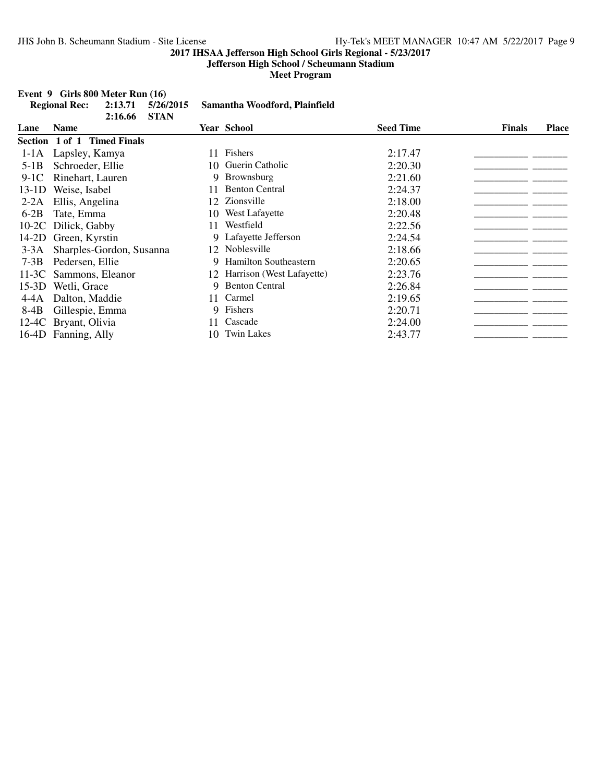### **Jefferson High School / Scheumann Stadium**

**Meet Program**

## **Event 9 Girls 800 Meter Run (16)**<br>Regional Rec: 2:13.71 5/26/2015

|         | <b>Regional Rec:</b>        | 2:13.71<br>2:16.66       | 5/26/2015<br><b>STAN</b> |     | Samantha Woodford, Plainfield |                  |               |              |
|---------|-----------------------------|--------------------------|--------------------------|-----|-------------------------------|------------------|---------------|--------------|
| Lane    | <b>Name</b>                 |                          |                          |     | <b>Year School</b>            | <b>Seed Time</b> | <b>Finals</b> | <b>Place</b> |
|         | Section 1 of 1 Timed Finals |                          |                          |     |                               |                  |               |              |
| $1-1A$  | Lapsley, Kamya              |                          |                          | 11  | Fishers                       | 2:17.47          |               |              |
| $5-1B$  | Schroeder, Ellie            |                          |                          | 10- | Guerin Catholic               | 2:20.30          |               |              |
| $9-1C$  | Rinehart, Lauren            |                          |                          | 9   | <b>Brownsburg</b>             | 2:21.60          |               |              |
| $13-1D$ | Weise, Isabel               |                          |                          | 11  | <b>Benton Central</b>         | 2:24.37          |               |              |
| $2-2A$  | Ellis, Angelina             |                          |                          | 12  | Zionsville                    | 2:18.00          |               |              |
| $6-2B$  | Tate, Emma                  |                          |                          | 10  | West Lafayette                | 2:20.48          |               |              |
|         | 10-2C Dilick, Gabby         |                          |                          | 11  | Westfield                     | 2:22.56          |               |              |
| 14-2D   | Green, Kyrstin              |                          |                          |     | Lafayette Jefferson           | 2:24.54          |               |              |
| $3-3A$  |                             | Sharples-Gordon, Susanna |                          | 12  | Noblesville                   | 2:18.66          |               |              |
| $7-3B$  | Pedersen, Ellie             |                          |                          | 9   | Hamilton Southeastern         | 2:20.65          |               |              |
| $11-3C$ | Sammons, Eleanor            |                          |                          |     | 12 Harrison (West Lafayette)  | 2:23.76          |               |              |
| $15-3D$ | Wetli, Grace                |                          |                          | 9.  | <b>Benton Central</b>         | 2:26.84          |               |              |
| 4-4A    | Dalton, Maddie              |                          |                          | 11. | Carmel                        | 2:19.65          |               |              |
| 8-4B    | Gillespie, Emma             |                          |                          |     | 9 Fishers                     | 2:20.71          |               |              |
|         | 12-4C Bryant, Olivia        |                          |                          | 11. | Cascade                       | 2:24.00          |               |              |
|         | 16-4D Fanning, Ally         |                          |                          | 10  | <b>Twin Lakes</b>             | 2:43.77          |               |              |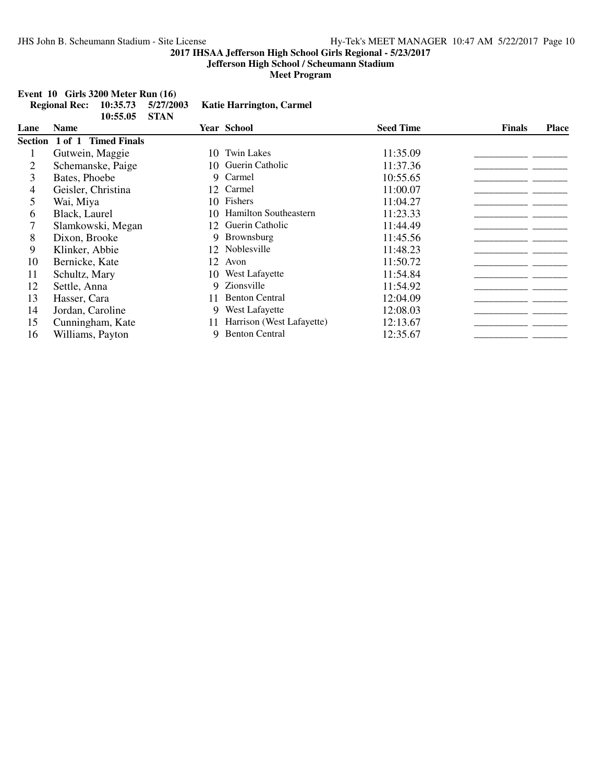### **Jefferson High School / Scheumann Stadium**

**Meet Program**

#### **Event 10 Girls 3200 Meter Run (16)**

|      | <b>Regional Rec:</b> | 10:35.73<br>10:55.05        | 5/27/2003<br><b>STAN</b> |     | <b>Katie Harrington, Carmel</b> |                  |               |              |
|------|----------------------|-----------------------------|--------------------------|-----|---------------------------------|------------------|---------------|--------------|
| Lane | <b>Name</b>          |                             |                          |     | <b>Year School</b>              | <b>Seed Time</b> | <b>Finals</b> | <b>Place</b> |
|      |                      | Section 1 of 1 Timed Finals |                          |     |                                 |                  |               |              |
|      | Gutwein, Maggie      |                             |                          | 10  | <b>Twin Lakes</b>               | 11:35.09         |               |              |
| 2    |                      | Schemanske, Paige           |                          |     | 10 Guerin Catholic              | 11:37.36         |               |              |
| 3    | Bates, Phoebe        |                             |                          | 9   | Carmel                          | 10:55.65         |               |              |
| 4    | Geisler, Christina   |                             |                          | 12  | Carmel                          | 11:00.07         |               |              |
| 5    | Wai, Miya            |                             |                          |     | 10 Fishers                      | 11:04.27         |               |              |
| 6    | Black, Laurel        |                             |                          | 10. | <b>Hamilton Southeastern</b>    | 11:23.33         |               |              |
| 7    |                      | Slamkowski, Megan           |                          | 12  | Guerin Catholic                 | 11:44.49         |               |              |
| 8    | Dixon, Brooke        |                             |                          | 9   | <b>Brownsburg</b>               | 11:45.56         |               |              |
| 9    | Klinker, Abbie       |                             |                          | 12  | Noblesville                     | 11:48.23         |               |              |
| 10   | Bernicke, Kate       |                             |                          | 12  | Avon                            | 11:50.72         |               |              |
| 11   | Schultz, Mary        |                             |                          |     | 10 West Lafayette               | 11:54.84         |               |              |
| 12   | Settle, Anna         |                             |                          | 9   | Zionsville                      | 11:54.92         |               |              |
| 13   | Hasser, Cara         |                             |                          | 11  | <b>Benton Central</b>           | 12:04.09         |               |              |
| 14   | Jordan, Caroline     |                             |                          | 9   | West Lafayette                  | 12:08.03         |               |              |
| 15   |                      | Cunningham, Kate            |                          | 11  | Harrison (West Lafayette)       | 12:13.67         |               |              |
| 16   | Williams, Payton     |                             |                          | 9   | <b>Benton Central</b>           | 12:35.67         |               |              |
|      |                      |                             |                          |     |                                 |                  |               |              |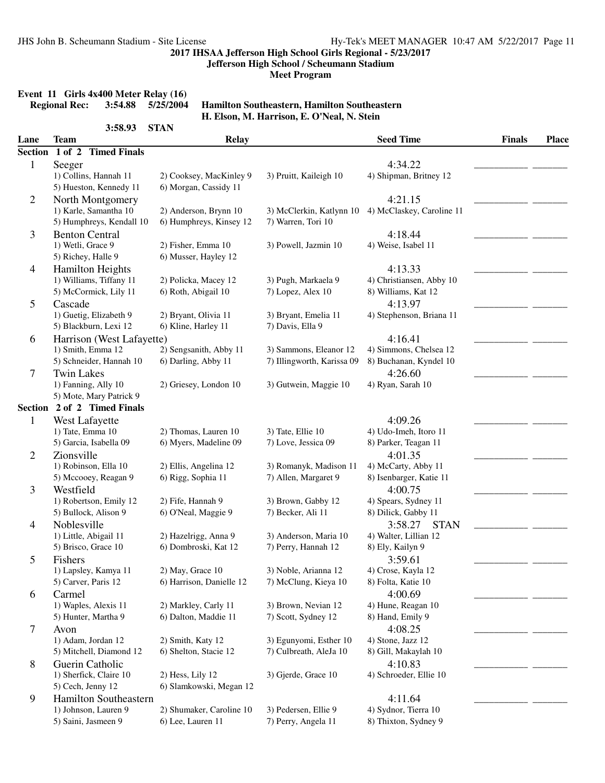**Jefferson High School / Scheumann Stadium**

**Meet Program**

# **Event 11 Girls 4x400 Meter Relay (16)**<br>Regional Rec: 3:54.88 5/25/2004

**Regional Rec: 3:54.88 5/25/2004 Hamilton Southeastern, Hamilton Southeastern H. Elson, M. Harrison, E. O'Neal, N. Stein**

|                | 3:58.93                     | <b>STAN</b>              |                            |                           |               |              |
|----------------|-----------------------------|--------------------------|----------------------------|---------------------------|---------------|--------------|
| Lane           | <b>Team</b>                 | <b>Relay</b>             |                            | <b>Seed Time</b>          | <b>Finals</b> | <b>Place</b> |
| <b>Section</b> | 1 of 2 Timed Finals         |                          |                            |                           |               |              |
| 1              | Seeger                      |                          |                            | 4:34.22                   |               |              |
|                | 1) Collins, Hannah 11       | 2) Cooksey, MacKinley 9  | 3) Pruitt, Kaileigh 10     | 4) Shipman, Britney 12    |               |              |
|                | 5) Hueston, Kennedy 11      | 6) Morgan, Cassidy 11    |                            |                           |               |              |
| 2              | North Montgomery            |                          |                            | 4:21.15                   |               |              |
|                | 1) Karle, Samantha 10       | 2) Anderson, Brynn 10    | 3) McClerkin, Katlynn 10   | 4) McClaskey, Caroline 11 |               |              |
|                | 5) Humphreys, Kendall 10    | 6) Humphreys, Kinsey 12  | 7) Warren, Tori 10         |                           |               |              |
| 3              | <b>Benton Central</b>       |                          |                            | 4:18.44                   |               |              |
|                | 1) Wetli, Grace 9           | 2) Fisher, Emma 10       | 3) Powell, Jazmin 10       | 4) Weise, Isabel 11       |               |              |
|                | 5) Richey, Halle 9          | 6) Musser, Hayley 12     |                            |                           |               |              |
| $\overline{4}$ | <b>Hamilton Heights</b>     |                          |                            | 4:13.33                   |               |              |
|                | 1) Williams, Tiffany 11     | 2) Policka, Macey 12     | 3) Pugh, Markaela 9        | 4) Christiansen, Abby 10  |               |              |
|                | 5) McCormick, Lily 11       | 6) Roth, Abigail 10      | 7) Lopez, Alex 10          | 8) Williams, Kat 12       |               |              |
| 5              | Cascade                     |                          |                            | 4:13.97                   |               |              |
|                | 1) Guetig, Elizabeth 9      | 2) Bryant, Olivia 11     | 3) Bryant, Emelia 11       | 4) Stephenson, Briana 11  |               |              |
|                | 5) Blackburn, Lexi 12       | 6) Kline, Harley 11      | 7) Davis, Ella 9           |                           |               |              |
| 6              | Harrison (West Lafayette)   |                          |                            | 4:16.41                   |               |              |
|                | 1) Smith, Emma 12           | 2) Sengsanith, Abby 11   | 3) Sammons, Eleanor 12     | 4) Simmons, Chelsea 12    |               |              |
|                | 5) Schneider, Hannah 10     | 6) Darling, Abby 11      | 7) Illingworth, Karissa 09 | 8) Buchanan, Kyndel 10    |               |              |
| 7              | <b>Twin Lakes</b>           |                          |                            | 4:26.60                   |               |              |
|                | 1) Fanning, Ally 10         | 2) Griesey, London 10    | 3) Gutwein, Maggie 10      | 4) Ryan, Sarah 10         |               |              |
|                | 5) Mote, Mary Patrick 9     |                          |                            |                           |               |              |
|                | Section 2 of 2 Timed Finals |                          |                            |                           |               |              |
| 1              | West Lafayette              |                          |                            | 4:09.26                   |               |              |
|                | 1) Tate, Emma 10            | 2) Thomas, Lauren 10     | 3) Tate, Ellie 10          | 4) Udo-Imeh, Itoro 11     |               |              |
|                | 5) Garcia, Isabella 09      | 6) Myers, Madeline 09    | 7) Love, Jessica 09        | 8) Parker, Teagan 11      |               |              |
| 2              | Zionsville                  |                          |                            | 4:01.35                   |               |              |
|                | 1) Robinson, Ella 10        | 2) Ellis, Angelina 12    | 3) Romanyk, Madison 11     | 4) McCarty, Abby 11       |               |              |
|                | 5) Mccooey, Reagan 9        | 6) Rigg, Sophia 11       | 7) Allen, Margaret 9       | 8) Isenbarger, Katie 11   |               |              |
| 3              | Westfield                   |                          |                            | 4:00.75                   |               |              |
|                | 1) Robertson, Emily 12      | 2) Fife, Hannah 9        | 3) Brown, Gabby 12         | 4) Spears, Sydney 11      |               |              |
|                | 5) Bullock, Alison 9        | 6) O'Neal, Maggie 9      | 7) Becker, Ali 11          | 8) Dilick, Gabby 11       |               |              |
| 4              | Noblesville                 |                          |                            | 3:58.27<br><b>STAN</b>    |               |              |
|                | 1) Little, Abigail 11       | 2) Hazelrigg, Anna 9     | 3) Anderson, Maria 10      | 4) Walter, Lillian 12     |               |              |
|                | 5) Brisco, Grace 10         | 6) Dombroski, Kat 12     | 7) Perry, Hannah 12        | 8) Ely, Kailyn 9          |               |              |
| 5              | Fishers                     |                          |                            | 3:59.61                   |               |              |
|                | 1) Lapsley, Kamya 11        | 2) May, Grace 10         | 3) Noble, Arianna 12       | 4) Crose, Kayla 12        |               |              |
|                | 5) Carver, Paris 12         | 6) Harrison, Danielle 12 | 7) McClung, Kieya 10       | 8) Folta, Katie 10        |               |              |
| 6              | Carmel                      |                          |                            | 4:00.69                   |               |              |
|                | 1) Waples, Alexis 11        | 2) Markley, Carly 11     | 3) Brown, Nevian 12        | 4) Hune, Reagan 10        |               |              |
|                | 5) Hunter, Martha 9         | 6) Dalton, Maddie 11     | 7) Scott, Sydney 12        | 8) Hand, Emily 9          |               |              |
| 7              | Avon                        |                          |                            | 4:08.25                   |               |              |
|                | 1) Adam, Jordan 12          | 2) Smith, Katy 12        | 3) Egunyomi, Esther 10     | 4) Stone, Jazz 12         |               |              |
|                | 5) Mitchell, Diamond 12     | 6) Shelton, Stacie 12    | 7) Culbreath, AleJa 10     | 8) Gill, Makaylah 10      |               |              |
| 8              | Guerin Catholic             |                          |                            | 4:10.83                   |               |              |
|                | 1) Sherfick, Claire 10      | 2) Hess, Lily 12         | 3) Gjerde, Grace 10        | 4) Schroeder, Ellie 10    |               |              |
|                | 5) Cech, Jenny 12           | 6) Slamkowski, Megan 12  |                            |                           |               |              |
| 9              | Hamilton Southeastern       |                          |                            | 4:11.64                   |               |              |
|                | 1) Johnson, Lauren 9        | 2) Shumaker, Caroline 10 | 3) Pedersen, Ellie 9       | 4) Sydnor, Tierra 10      |               |              |
|                | 5) Saini, Jasmeen 9         | 6) Lee, Lauren 11        | 7) Perry, Angela 11        | 8) Thixton, Sydney 9      |               |              |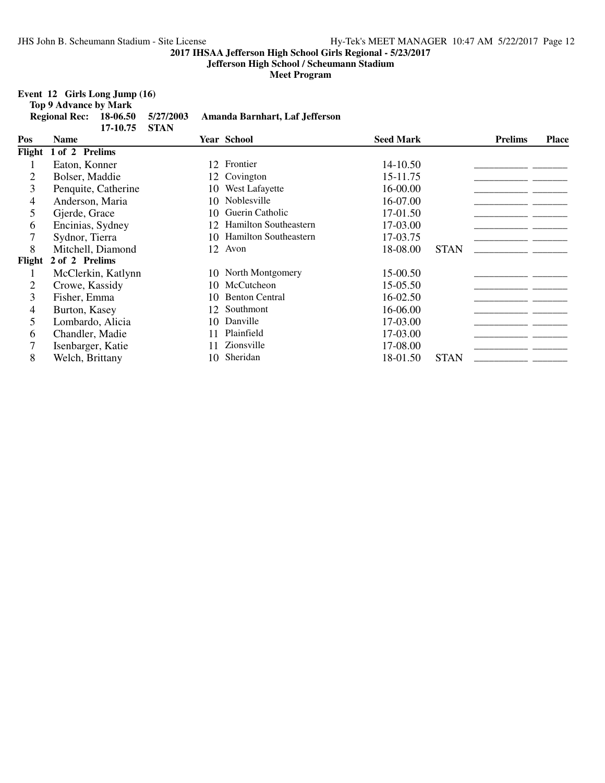**Jefferson High School / Scheumann Stadium**

**Meet Program**

### **Event 12 Girls Long Jump (16)**

**Top 9 Advance by Mark**

|        | <b>Regional Rec:</b> | 18-06.50<br>17-10.75 | 5/27/2003<br><b>STAN</b> |     | Amanda Barnhart, Laf Jefferson |                  |             |                |              |
|--------|----------------------|----------------------|--------------------------|-----|--------------------------------|------------------|-------------|----------------|--------------|
| Pos    | <b>Name</b>          |                      |                          |     | <b>Year School</b>             | <b>Seed Mark</b> |             | <b>Prelims</b> | <b>Place</b> |
| Flight | 1 of 2 Prelims       |                      |                          |     |                                |                  |             |                |              |
|        | Eaton, Konner        |                      |                          |     | 12 Frontier                    | 14-10.50         |             |                |              |
| 2      | Bolser, Maddie       |                      |                          | 12  | Covington                      | 15-11.75         |             |                |              |
| 3      |                      | Penquite, Catherine  |                          | 10- | West Lafayette                 | 16-00.00         |             |                |              |
| 4      | Anderson, Maria      |                      |                          | 10  | Noblesville                    | 16-07.00         |             |                |              |
| 5      | Gjerde, Grace        |                      |                          | 10  | Guerin Catholic                | 17-01.50         |             |                |              |
| 6      | Encinias, Sydney     |                      |                          | 12  | Hamilton Southeastern          | 17-03.00         |             |                |              |
|        | Sydnor, Tierra       |                      |                          | 10  | Hamilton Southeastern          | 17-03.75         |             |                |              |
| 8      |                      | Mitchell, Diamond    |                          | 12  | Avon                           | 18-08.00         | <b>STAN</b> |                |              |
| Flight | 2 of 2 Prelims       |                      |                          |     |                                |                  |             |                |              |
| 1      |                      | McClerkin, Katlynn   |                          |     | 10 North Montgomery            | 15-00.50         |             |                |              |
| 2      | Crowe, Kassidy       |                      |                          |     | 10 McCutcheon                  | 15-05.50         |             |                |              |
| 3      | Fisher, Emma         |                      |                          | 10  | <b>Benton Central</b>          | 16-02.50         |             |                |              |
| 4      | Burton, Kasey        |                      |                          | 12  | Southmont                      | 16-06.00         |             |                |              |
| 5      | Lombardo, Alicia     |                      |                          | 10  | Danville                       | 17-03.00         |             |                |              |
| 6      | Chandler, Madie      |                      |                          |     | Plainfield                     | 17-03.00         |             |                |              |
|        | Isenbarger, Katie    |                      |                          |     | Zionsville                     | 17-08.00         |             |                |              |
| 8      | Welch, Brittany      |                      |                          | 10. | Sheridan                       | 18-01.50         | <b>STAN</b> |                |              |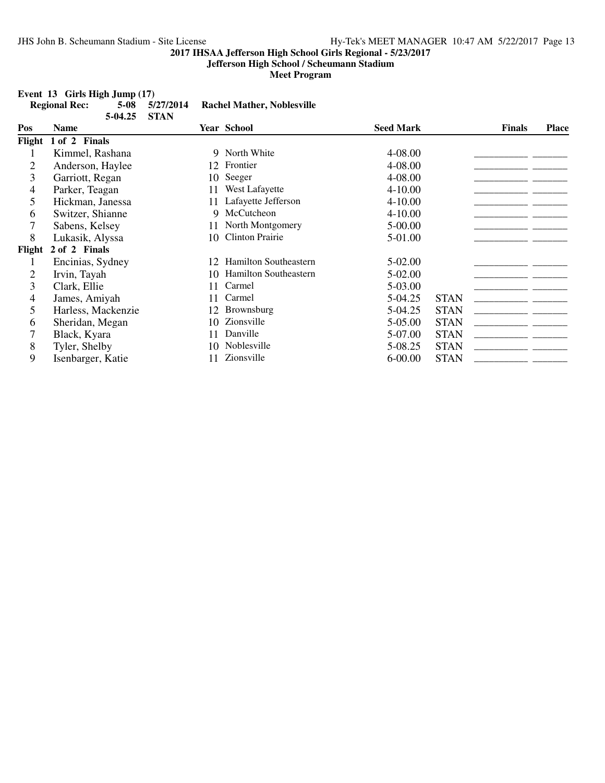### **Jefferson High School / Scheumann Stadium**

**Meet Program**

#### **Event 13 Girls High Jump (17)**

|                | <b>Regional Rec:</b> | $5 - 08$<br>5-04.25 | 5/27/2014<br><b>STAN</b> |     | <b>Rachel Mather, Noblesville</b> |                  |             |               |              |
|----------------|----------------------|---------------------|--------------------------|-----|-----------------------------------|------------------|-------------|---------------|--------------|
| Pos            | <b>Name</b>          |                     |                          |     | <b>Year School</b>                | <b>Seed Mark</b> |             | <b>Finals</b> | <b>Place</b> |
|                | Flight 1 of 2 Finals |                     |                          |     |                                   |                  |             |               |              |
|                | Kimmel, Rashana      |                     |                          |     | 9 North White                     | 4-08.00          |             |               |              |
| $\overline{2}$ | Anderson, Haylee     |                     |                          | 12  | Frontier                          | 4-08.00          |             |               |              |
| 3              | Garriott, Regan      |                     |                          | 10- | Seeger                            | 4-08.00          |             |               |              |
| 4              | Parker, Teagan       |                     |                          | 11  | West Lafayette                    | $4 - 10.00$      |             |               |              |
| 5              | Hickman, Janessa     |                     |                          | 11  | Lafayette Jefferson               | $4 - 10.00$      |             |               |              |
| 6              | Switzer, Shianne     |                     |                          | 9   | McCutcheon                        | $4 - 10.00$      |             |               |              |
| 7              | Sabens, Kelsey       |                     |                          | 11  | North Montgomery                  | 5-00.00          |             |               |              |
| 8              | Lukasik, Alyssa      |                     |                          | 10  | <b>Clinton Prairie</b>            | 5-01.00          |             |               |              |
| Flight         | 2 of 2 Finals        |                     |                          |     |                                   |                  |             |               |              |
|                | Encinias, Sydney     |                     |                          |     | 12 Hamilton Southeastern          | 5-02.00          |             |               |              |
| 2              | Irvin, Tayah         |                     |                          | 10. | Hamilton Southeastern             | 5-02.00          |             |               |              |
| 3              | Clark, Ellie         |                     |                          | 11  | Carmel                            | 5-03.00          |             |               |              |
| 4              | James, Amiyah        |                     |                          | 11  | Carmel                            | 5-04.25          | <b>STAN</b> |               |              |
| 5              | Harless, Mackenzie   |                     |                          | 12  | Brownsburg                        | 5-04.25          | <b>STAN</b> |               |              |
| 6              | Sheridan, Megan      |                     |                          | 10  | Zionsville                        | 5-05.00          | <b>STAN</b> |               |              |
| 7              | Black, Kyara         |                     |                          | 11  | Danville                          | 5-07.00          | <b>STAN</b> |               |              |
| 8              | Tyler, Shelby        |                     |                          | 10  | Noblesville                       | 5-08.25          | <b>STAN</b> |               |              |
| 9              | Isenbarger, Katie    |                     |                          | 11  | Zionsville                        | $6 - 00.00$      | <b>STAN</b> |               |              |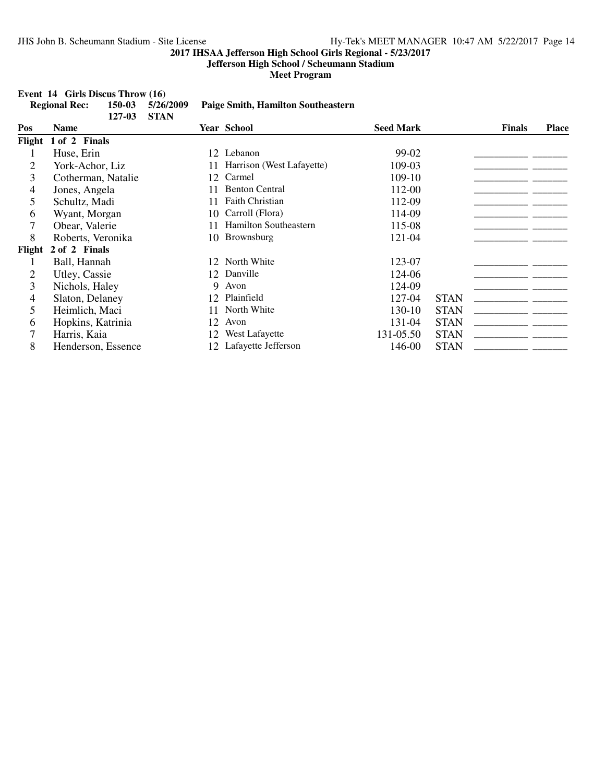**Jefferson High School / Scheumann Stadium**

**Meet Program**

### **Event 14 Girls Discus Throw (16)**<br>**Regional Rec:** 150-03 5/26/2009

|        | <b>Regional Rec:</b> | 150-03<br>127-03 | 5/26/2009<br><b>STAN</b> |    | <b>Paige Smith, Hamilton Southeastern</b> |                  |             |               |              |
|--------|----------------------|------------------|--------------------------|----|-------------------------------------------|------------------|-------------|---------------|--------------|
| Pos    | <b>Name</b>          |                  |                          |    | <b>Year School</b>                        | <b>Seed Mark</b> |             | <b>Finals</b> | <b>Place</b> |
| Flight | 1 of 2 Finals        |                  |                          |    |                                           |                  |             |               |              |
|        | Huse, Erin           |                  |                          |    | 12 Lebanon                                | 99-02            |             |               |              |
| 2      | York-Achor, Liz      |                  |                          | 11 | Harrison (West Lafayette)                 | 109-03           |             |               |              |
| 3      | Cotherman, Natalie   |                  |                          | 12 | Carmel                                    | 109-10           |             |               |              |
| 4      | Jones, Angela        |                  |                          | 11 | <b>Benton Central</b>                     | 112-00           |             |               |              |
| 5      | Schultz, Madi        |                  |                          | 11 | Faith Christian                           | 112-09           |             |               |              |
| 6      | Wyant, Morgan        |                  |                          | 10 | Carroll (Flora)                           | 114-09           |             |               |              |
| 7      | Obear, Valerie       |                  |                          | 11 | <b>Hamilton Southeastern</b>              | 115-08           |             |               |              |
| 8      | Roberts, Veronika    |                  |                          | 10 | <b>Brownsburg</b>                         | 121-04           |             |               |              |
| Flight | 2 of 2 Finals        |                  |                          |    |                                           |                  |             |               |              |
|        | Ball, Hannah         |                  |                          |    | 12 North White                            | 123-07           |             |               |              |
| 2      | Utley, Cassie        |                  |                          | 12 | Danville                                  | 124-06           |             |               |              |
| 3      | Nichols, Haley       |                  |                          | 9  | Avon                                      | 124-09           |             |               |              |
| 4      | Slaton, Delaney      |                  |                          | 12 | Plainfield                                | 127-04           | <b>STAN</b> |               |              |
| 5      | Heimlich, Maci       |                  |                          | 11 | North White                               | 130-10           | <b>STAN</b> |               |              |
| 6      | Hopkins, Katrinia    |                  |                          | 12 | Avon                                      | 131-04           | <b>STAN</b> |               |              |
| 7      | Harris, Kaia         |                  |                          | 12 | West Lafayette                            | 131-05.50        | <b>STAN</b> |               |              |
| 8      | Henderson, Essence   |                  |                          | 12 | Lafayette Jefferson                       | 146-00           | <b>STAN</b> |               |              |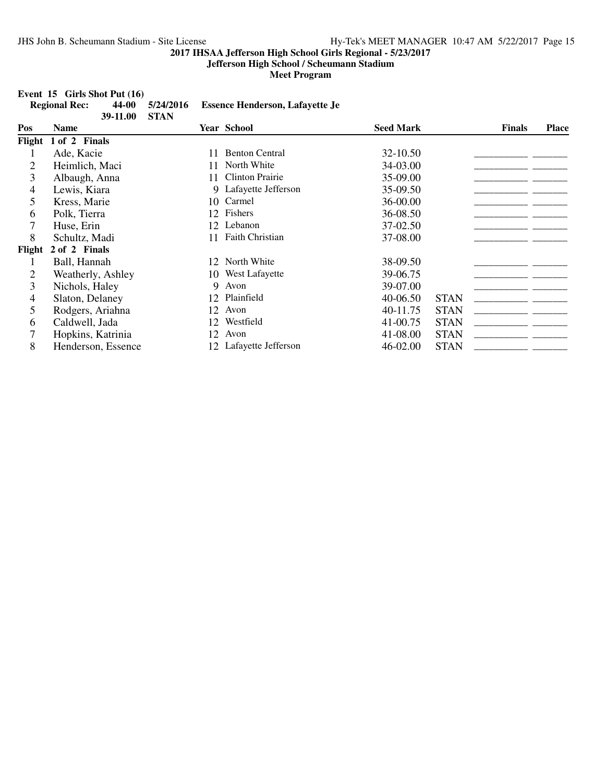**Jefferson High School / Scheumann Stadium**

**Meet Program**

### **Event 15 Girls Shot Put (16)**<br>Regional Rec: 44-00

|        | <b>Regional Rec:</b><br>44-00<br>39-11.00 | 5/24/2016<br><b>STAN</b> | <b>Essence Henderson, Lafayette Je</b> |                  |             |               |              |
|--------|-------------------------------------------|--------------------------|----------------------------------------|------------------|-------------|---------------|--------------|
| Pos    | Name                                      |                          | <b>Year School</b>                     | <b>Seed Mark</b> |             | <b>Finals</b> | <b>Place</b> |
| Flight | <b>Finals</b><br>1 of 2                   |                          |                                        |                  |             |               |              |
|        | Ade, Kacie                                | 11                       | <b>Benton Central</b>                  | 32-10.50         |             |               |              |
| 2      | Heimlich, Maci                            | 11                       | North White                            | 34-03.00         |             |               |              |
| 3      | Albaugh, Anna                             | 11                       | <b>Clinton Prairie</b>                 | 35-09.00         |             |               |              |
| 4      | Lewis, Kiara                              |                          | Lafayette Jefferson<br>9               | 35-09.50         |             |               |              |
| 5      | Kress, Marie                              |                          | Carmel<br>10                           | 36-00.00         |             |               |              |
| 6      | Polk, Tierra                              |                          | 12 Fishers                             | 36-08.50         |             |               |              |
|        | Huse, Erin                                |                          | 12 Lebanon                             | 37-02.50         |             |               |              |
| 8      | Schultz, Madi                             |                          | Faith Christian                        | 37-08.00         |             |               |              |
| Flight | 2 of 2 Finals                             |                          |                                        |                  |             |               |              |
|        | Ball, Hannah                              |                          | 12 North White                         | 38-09.50         |             |               |              |
| 2      | Weatherly, Ashley                         |                          | 10 West Lafayette                      | 39-06.75         |             |               |              |
| 3      | Nichols, Haley                            |                          | 9<br>Avon                              | 39-07.00         |             |               |              |
| 4      | Slaton, Delaney                           |                          | Plainfield<br>12                       | 40-06.50         | <b>STAN</b> |               |              |
| 5      | Rodgers, Ariahna                          |                          | Avon<br>12                             | 40-11.75         | <b>STAN</b> |               |              |
| 6      | Caldwell, Jada                            |                          | Westfield<br>12                        | 41-00.75         | <b>STAN</b> |               |              |
| 7      | Hopkins, Katrinia                         |                          | Avon<br>12                             | 41-08.00         | <b>STAN</b> |               |              |
| 8      | Henderson, Essence                        |                          | 12 Lafayette Jefferson                 | 46-02.00         | <b>STAN</b> |               |              |